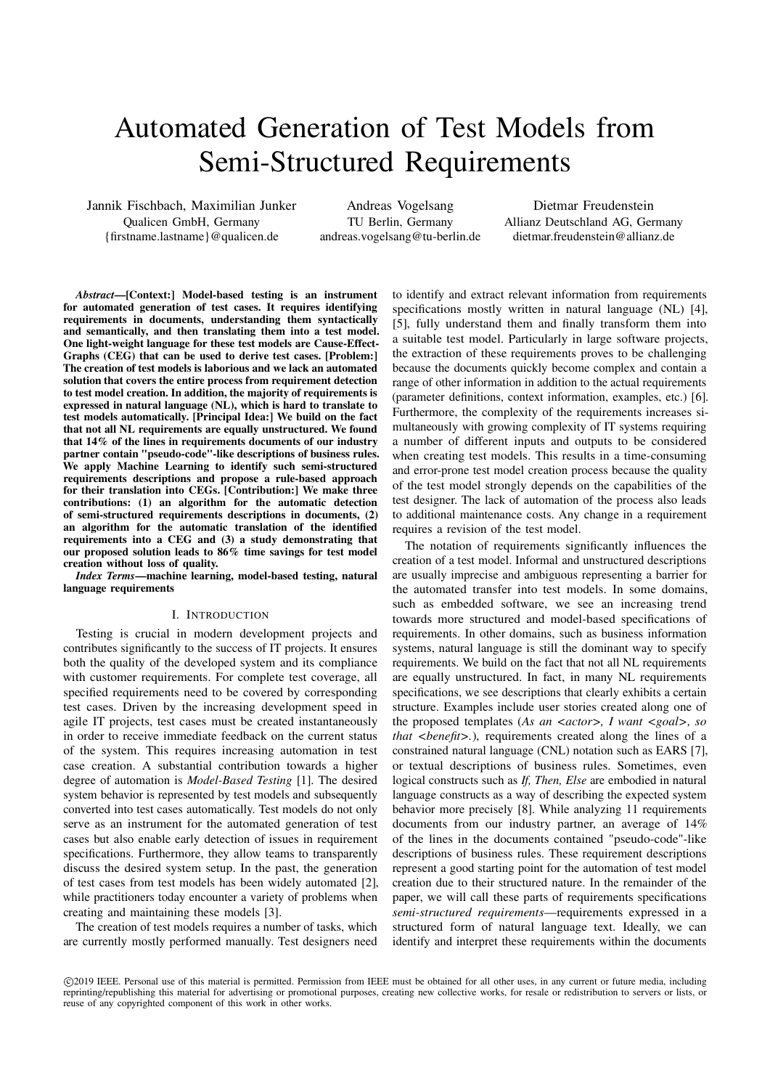# Automated Generation of Test Models from Semi-Structured Requirements

Jannik Fischbach, Maximilian Junker Qualicen GmbH, Germany {firstname.lastname}@qualicen.de

Andreas Vogelsang TU Berlin, Germany andreas.vogelsang@tu-berlin.de

Dietmar Freudenstein Allianz Deutschland AG, Germany dietmar.freudenstein@allianz.de

Abstract—[Context:] Model-based testing is an instrument for automated generation of test cases. It requires identifying requirements in documents, understanding them syntactically and semantically, and then translating them into a test model. One light-weight language for these test models are Cause-Effect-Graphs (CEG) that can be used to derive test cases. [Problem:] The creation of test models is laborious and we lack an automated solution that covers the entire process from requirement detection to test model creation. In addition, the majority of requirements is expressed in natural language (NL), which is hard to translate to test models automatically. [Principal Idea:] We build on the fact that not all NL requirements are equally unstructured. We found that 14% of the lines in requirements documents of our industry partner contain "pseudo-code"-like descriptions of business rules. We apply Machine Learning to identify such semi-structured requirements descriptions and propose a rule-based approach for their translation into CEGs. [Contribution:] We make three contributions: (1) an algorithm for the automatic detection of semi-structured requirements descriptions in documents, (2) an algorithm for the automatic translation of the identified requirements into a CEG and (3) a study demonstrating that our proposed solution leads to 86% time savings for test model creation without loss of quality.

Index Terms—machine learning, model-based testing, natural language requirements

## I. INTRODUCTION

Testing is crucial in modern development projects and contributes significantly to the success of IT projects. It ensures both the quality of the developed system and its compliance with customer requirements. For complete test coverage, all specified requirements need to be covered by corresponding test cases. Driven by the increasing development speed in agile IT projects, test cases must be created instantaneously in order to receive immediate feedback on the current status of the system. This requires increasing automation in test case creation. A substantial contribution towards a higher degree of automation is Model-Based Testing [1]. The desired system behavior is represented by test models and subsequently converted into test cases automatically. Test models do not only serve as an instrument for the automated generation of test cases but also enable early detection of issues in requirement specifications. Furthermore, they allow teams to transparently discuss the desired system setup. In the past, the generation of test cases from test models has been widely automated [2], while practitioners today encounter a variety of problems when creating and maintaining these models [3].

The creation of test models requires a number of tasks, which are currently mostly performed manually. Test designers need

to identify and extract relevant information from requirements specifications mostly written in natural language (NL) [4], [5], fully understand them and finally transform them into a suitable test model. Particularly in large software projects, the extraction of these requirements proves to be challenging because the documents quickly become complex and contain a range of other information in addition to the actual requirements (parameter definitions, context information, examples, etc.) [6]. Furthermore, the complexity of the requirements increases simultaneously with growing complexity of IT systems requiring a number of different inputs and outputs to be considered when creating test models. This results in a time-consuming and error-prone test model creation process because the quality of the test model strongly depends on the capabilities of the test designer. The lack of automation of the process also leads to additional maintenance costs. Any change in a requirement requires a revision of the test model.

The notation of requirements significantly influences the creation of a test model. Informal and unstructured descriptions are usually imprecise and ambiguous representing a barrier for the automated transfer into test models. In some domains, such as embedded software, we see an increasing trend towards more structured and model-based specifications of requirements. In other domains, such as business information systems, natural language is still the dominant way to specify requirements. We build on the fact that not all NL requirements are equally unstructured. In fact, in many NL requirements specifications, we see descriptions that clearly exhibits a certain structure. Examples include user stories created along one of the proposed templates (As an  $\langle \langle 2as \rangle$  and  $\langle \langle \langle 2as \rangle \rangle$  and  $\langle \langle \langle 2as \rangle \rangle$  and  $\langle \langle \langle 2as \rangle \rangle$  and  $\langle \langle \langle 2as \rangle \rangle$  and  $\langle \langle \langle \rangle \rangle$  and  $\langle \langle \rangle$  and  $\langle \langle \rangle \rangle$  and  $\langle \langle \rangle$  and  $\langle \rangle$  and  $\langle \rangle$  and  $\langle \rangle$  and  $\langle \$ that  $\langle \text{benefit} \rangle$ .), requirements created along the lines of a constrained natural language (CNL) notation such as EARS [7], or textual descriptions of business rules. Sometimes, even logical constructs such as If, Then, Else are embodied in natural language constructs as a way of describing the expected system behavior more precisely [8]. While analyzing 11 requirements documents from our industry partner, an average of 14% of the lines in the documents contained "pseudo-code"-like descriptions of business rules. These requirement descriptions represent a good starting point for the automation of test model creation due to their structured nature. In the remainder of the paper, we will call these parts of requirements specifications semi-structured requirements—requirements expressed in a structured form of natural language text. Ideally, we can identify and interpret these requirements within the documents

c 2019 IEEE. Personal use of this material is permitted. Permission from IEEE must be obtained for all other uses, in any current or future media, including reprinting/republishing this material for advertising or promotional purposes, creating new collective works, for resale or redistribution to servers or lists, or reuse of any copyrighted component of this work in other works.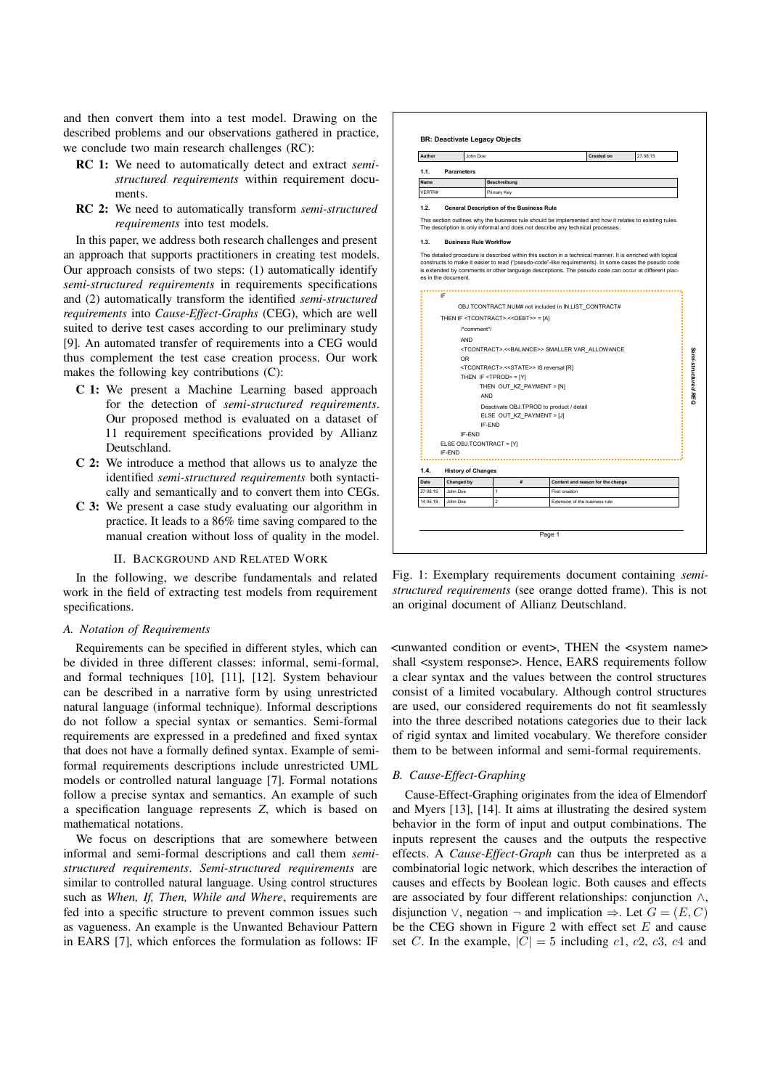and then convert them into a test model. Drawing on the described problems and our observations gathered in practice, we conclude two main research challenges (RC):

- RC 1: We need to automatically detect and extract *semi*structured requirements within requirement documents.
- RC 2: We need to automatically transform semi-structured requirements into test models.

In this paper, we address both research challenges and present an approach that supports practitioners in creating test models. Our approach consists of two steps: (1) automatically identify semi-structured requirements in requirements specifications and (2) automatically transform the identified semi-structured requirements into Cause-Effect-Graphs (CEG), which are well suited to derive test cases according to our preliminary study [9]. An automated transfer of requirements into a CEG would thus complement the test case creation process. Our work makes the following key contributions (C):

- C 1: We present a Machine Learning based approach for the detection of semi-structured requirements. Our proposed method is evaluated on a dataset of 11 requirement specifications provided by Allianz Deutschland.
- C 2: We introduce a method that allows us to analyze the identified semi-structured requirements both syntactically and semantically and to convert them into CEGs.
- C 3: We present a case study evaluating our algorithm in practice. It leads to a 86% time saving compared to the manual creation without loss of quality in the model.

#### II. BACKGROUND AND RELATED WORK

In the following, we describe fundamentals and related work in the field of extracting test models from requirement specifications.

## A. Notation of Requirements

Requirements can be specified in different styles, which can be divided in three different classes: informal, semi-formal, and formal techniques [10], [11], [12]. System behaviour can be described in a narrative form by using unrestricted natural language (informal technique). Informal descriptions do not follow a special syntax or semantics. Semi-formal requirements are expressed in a predefined and fixed syntax that does not have a formally defined syntax. Example of semiformal requirements descriptions include unrestricted UML models or controlled natural language [7]. Formal notations follow a precise syntax and semantics. An example of such a specification language represents Z, which is based on mathematical notations.

We focus on descriptions that are somewhere between informal and semi-formal descriptions and call them semistructured requirements. Semi-structured requirements are similar to controlled natural language. Using control structures such as When, If, Then, While and Where, requirements are fed into a specific structure to prevent common issues such as vagueness. An example is the Unwanted Behaviour Pattern in EARS [7], which enforces the formulation as follows: IF



Fig. 1: Exemplary requirements document containing semistructured requirements (see orange dotted frame). This is not an original document of Allianz Deutschland.

<unwanted condition or event>, THEN the <system name> shall <system response>. Hence, EARS requirements follow a clear syntax and the values between the control structures consist of a limited vocabulary. Although control structures are used, our considered requirements do not fit seamlessly into the three described notations categories due to their lack of rigid syntax and limited vocabulary. We therefore consider them to be between informal and semi-formal requirements.

#### B. Cause-Effect-Graphing

Cause-Effect-Graphing originates from the idea of Elmendorf and Myers [13], [14]. It aims at illustrating the desired system behavior in the form of input and output combinations. The inputs represent the causes and the outputs the respective effects. A Cause-Effect-Graph can thus be interpreted as a combinatorial logic network, which describes the interaction of causes and effects by Boolean logic. Both causes and effects are associated by four different relationships: conjunction ∧, disjunction ∨, negation  $\neg$  and implication  $\Rightarrow$ . Let  $G = (E, C)$ be the CEG shown in Figure 2 with effect set  $E$  and cause set C. In the example,  $|C| = 5$  including c1, c2, c3, c4 and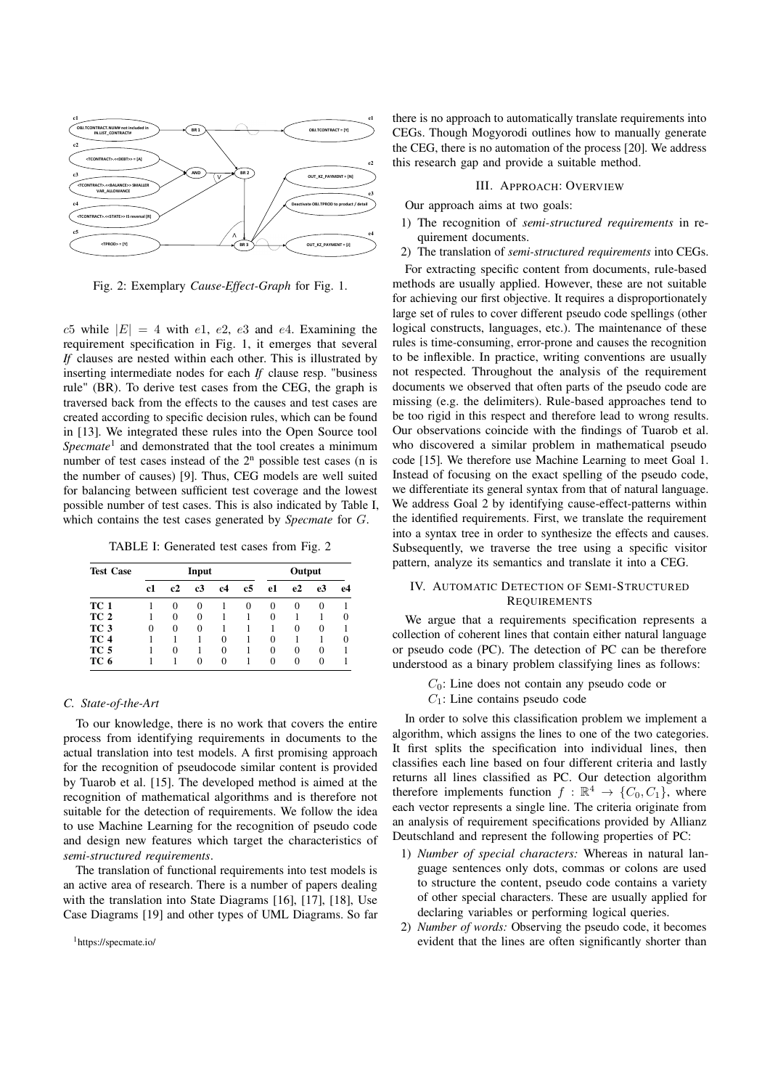

Fig. 2: Exemplary Cause-Effect-Graph for Fig. 1.

 $c5$  while  $|E| = 4$  with  $e1, e2, e3$  and  $e4$ . Examining the requirement specification in Fig. 1, it emerges that several If clauses are nested within each other. This is illustrated by inserting intermediate nodes for each If clause resp. "business rule" (BR). To derive test cases from the CEG, the graph is traversed back from the effects to the causes and test cases are created according to specific decision rules, which can be found in [13]. We integrated these rules into the Open Source tool  $Spearate<sup>1</sup>$  and demonstrated that the tool creates a minimum number of test cases instead of the  $2<sup>n</sup>$  possible test cases (n is the number of causes) [9]. Thus, CEG models are well suited for balancing between sufficient test coverage and the lowest possible number of test cases. This is also indicated by Table I, which contains the test cases generated by *Specmate* for G.

TABLE I: Generated test cases from Fig. 2

| <b>Test Case</b> | Input |    |    |    |    | Output   |          |                |        |
|------------------|-------|----|----|----|----|----------|----------|----------------|--------|
|                  | c1    | c2 | c3 | c4 | c5 | e1       | e2       | e <sub>3</sub> | e4     |
| TC 1             |       | 0  | 0  |    | 0  | $\theta$ | $\theta$ | $_{0}$         |        |
| TC <sub>2</sub>  |       | 0  | 0  |    |    | $\theta$ |          |                | $_{0}$ |
| TC <sub>3</sub>  | 0     | 0  | 0  |    |    |          | $\Omega$ | 0              |        |
| TC 4             |       |    |    | 0  |    | 0        |          |                | $_{0}$ |
| TC 5             |       | 0  |    | 0  |    | 0        | $\theta$ | $^{(1)}$       |        |
| TC 6             |       |    | 0  | 0  |    | 0        | 0        | $\Omega$       |        |

### C. State-of-the-Art

To our knowledge, there is no work that covers the entire process from identifying requirements in documents to the actual translation into test models. A first promising approach for the recognition of pseudocode similar content is provided by Tuarob et al. [15]. The developed method is aimed at the recognition of mathematical algorithms and is therefore not suitable for the detection of requirements. We follow the idea to use Machine Learning for the recognition of pseudo code and design new features which target the characteristics of semi-structured requirements.

The translation of functional requirements into test models is an active area of research. There is a number of papers dealing with the translation into State Diagrams [16], [17], [18], Use Case Diagrams [19] and other types of UML Diagrams. So far

1https://specmate.io/

there is no approach to automatically translate requirements into CEGs. Though Mogyorodi outlines how to manually generate the CEG, there is no automation of the process [20]. We address this research gap and provide a suitable method.

## III. APPROACH: OVERVIEW

Our approach aims at two goals:

- 1) The recognition of semi-structured requirements in requirement documents.
- 2) The translation of semi-structured requirements into CEGs.

For extracting specific content from documents, rule-based methods are usually applied. However, these are not suitable for achieving our first objective. It requires a disproportionately large set of rules to cover different pseudo code spellings (other logical constructs, languages, etc.). The maintenance of these rules is time-consuming, error-prone and causes the recognition to be inflexible. In practice, writing conventions are usually not respected. Throughout the analysis of the requirement documents we observed that often parts of the pseudo code are missing (e.g. the delimiters). Rule-based approaches tend to be too rigid in this respect and therefore lead to wrong results. Our observations coincide with the findings of Tuarob et al. who discovered a similar problem in mathematical pseudo code [15]. We therefore use Machine Learning to meet Goal 1. Instead of focusing on the exact spelling of the pseudo code, we differentiate its general syntax from that of natural language. We address Goal 2 by identifying cause-effect-patterns within the identified requirements. First, we translate the requirement into a syntax tree in order to synthesize the effects and causes. Subsequently, we traverse the tree using a specific visitor pattern, analyze its semantics and translate it into a CEG.

#### IV. AUTOMATIC DETECTION OF SEMI-STRUCTURED **REQUIREMENTS**

We argue that a requirements specification represents a collection of coherent lines that contain either natural language or pseudo code (PC). The detection of PC can be therefore understood as a binary problem classifying lines as follows:

> $C_0$ : Line does not contain any pseudo code or  $C_1$ : Line contains pseudo code

In order to solve this classification problem we implement a algorithm, which assigns the lines to one of the two categories. It first splits the specification into individual lines, then classifies each line based on four different criteria and lastly returns all lines classified as PC. Our detection algorithm therefore implements function  $f : \mathbb{R}^4 \to \{C_0, C_1\}$ , where each vector represents a single line. The criteria originate from an analysis of requirement specifications provided by Allianz Deutschland and represent the following properties of PC:

- 1) Number of special characters: Whereas in natural language sentences only dots, commas or colons are used to structure the content, pseudo code contains a variety of other special characters. These are usually applied for declaring variables or performing logical queries.
- 2) Number of words: Observing the pseudo code, it becomes evident that the lines are often significantly shorter than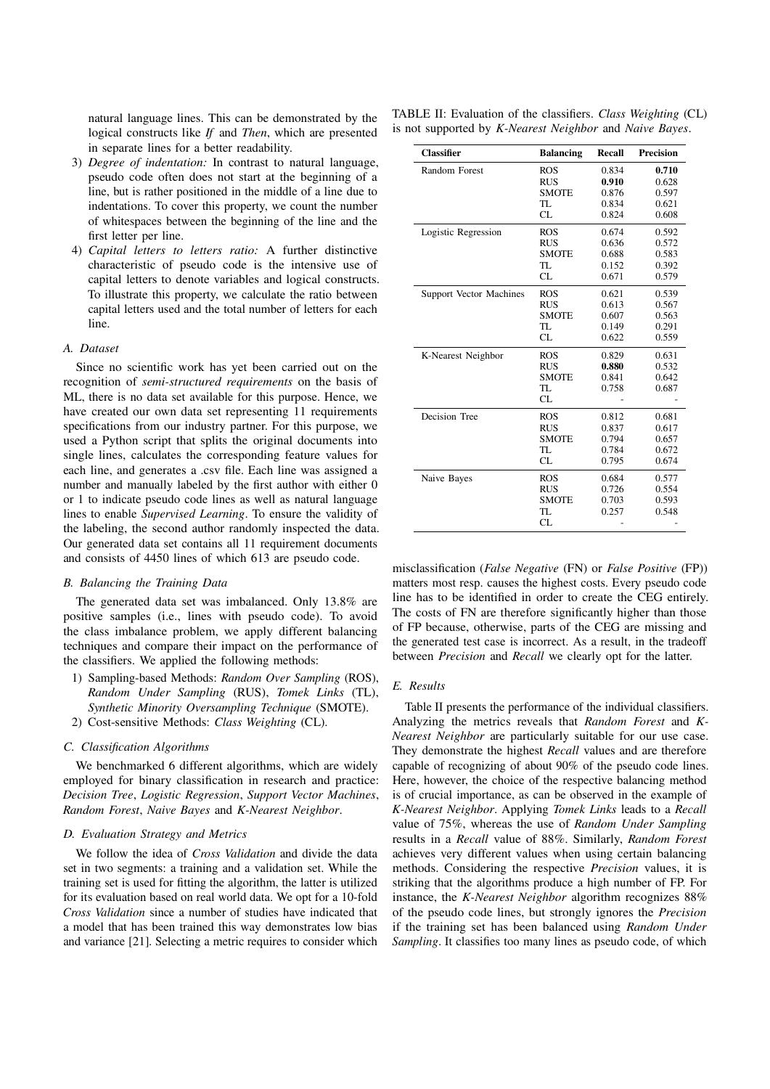natural language lines. This can be demonstrated by the logical constructs like If and Then, which are presented in separate lines for a better readability.

- 3) Degree of indentation: In contrast to natural language, pseudo code often does not start at the beginning of a line, but is rather positioned in the middle of a line due to indentations. To cover this property, we count the number of whitespaces between the beginning of the line and the first letter per line.
- 4) Capital letters to letters ratio: A further distinctive characteristic of pseudo code is the intensive use of capital letters to denote variables and logical constructs. To illustrate this property, we calculate the ratio between capital letters used and the total number of letters for each line.

## A. Dataset

Since no scientific work has yet been carried out on the recognition of semi-structured requirements on the basis of ML, there is no data set available for this purpose. Hence, we have created our own data set representing 11 requirements specifications from our industry partner. For this purpose, we used a Python script that splits the original documents into single lines, calculates the corresponding feature values for each line, and generates a .csv file. Each line was assigned a number and manually labeled by the first author with either 0 or 1 to indicate pseudo code lines as well as natural language lines to enable Supervised Learning. To ensure the validity of the labeling, the second author randomly inspected the data. Our generated data set contains all 11 requirement documents and consists of 4450 lines of which 613 are pseudo code.

#### B. Balancing the Training Data

The generated data set was imbalanced. Only 13.8% are positive samples (i.e., lines with pseudo code). To avoid the class imbalance problem, we apply different balancing techniques and compare their impact on the performance of the classifiers. We applied the following methods:

- 1) Sampling-based Methods: Random Over Sampling (ROS), Random Under Sampling (RUS), Tomek Links (TL), Synthetic Minority Oversampling Technique (SMOTE).
- 2) Cost-sensitive Methods: Class Weighting (CL).

#### C. Classification Algorithms

We benchmarked 6 different algorithms, which are widely employed for binary classification in research and practice: Decision Tree, Logistic Regression, Support Vector Machines, Random Forest, Naive Bayes and K-Nearest Neighbor.

## D. Evaluation Strategy and Metrics

We follow the idea of *Cross Validation* and divide the data set in two segments: a training and a validation set. While the training set is used for fitting the algorithm, the latter is utilized for its evaluation based on real world data. We opt for a 10-fold Cross Validation since a number of studies have indicated that a model that has been trained this way demonstrates low bias and variance [21]. Selecting a metric requires to consider which

TABLE II: Evaluation of the classifiers. Class Weighting (CL) is not supported by K-Nearest Neighbor and Naive Bayes.

| <b>Classifier</b>              | <b>Balancing</b> | Recall | <b>Precision</b> |
|--------------------------------|------------------|--------|------------------|
| Random Forest                  | <b>ROS</b>       | 0.834  | 0.710            |
|                                | <b>RUS</b>       | 0.910  | 0.628            |
|                                | <b>SMOTE</b>     | 0.876  | 0.597            |
|                                | TL               | 0.834  | 0.621            |
|                                | <b>CL</b>        | 0.824  | 0.608            |
| Logistic Regression            | <b>ROS</b>       | 0.674  | 0.592            |
|                                | <b>RUS</b>       | 0.636  | 0.572            |
|                                | <b>SMOTE</b>     | 0.688  | 0.583            |
|                                | TL               | 0.152  | 0.392            |
|                                | <b>CL</b>        | 0.671  | 0.579            |
| <b>Support Vector Machines</b> | <b>ROS</b>       | 0.621  | 0.539            |
|                                | <b>RUS</b>       | 0.613  | 0.567            |
|                                | <b>SMOTE</b>     | 0.607  | 0.563            |
|                                | TL               | 0.149  | 0.291            |
|                                | <b>CL</b>        | 0.622  | 0.559            |
| K-Nearest Neighbor             | <b>ROS</b>       | 0.829  | 0.631            |
|                                | <b>RUS</b>       | 0.880  | 0.532            |
|                                | <b>SMOTE</b>     | 0.841  | 0.642            |
|                                | TL               | 0.758  | 0.687            |
|                                | CL.              |        |                  |
| Decision Tree                  | <b>ROS</b>       | 0.812  | 0.681            |
|                                | <b>RUS</b>       | 0.837  | 0.617            |
|                                | <b>SMOTE</b>     | 0.794  | 0.657            |
|                                | TL               | 0.784  | 0.672            |
|                                | CL               | 0.795  | 0.674            |
| Naive Bayes                    | <b>ROS</b>       | 0.684  | 0.577            |
|                                | <b>RUS</b>       | 0.726  | 0.554            |
|                                | <b>SMOTE</b>     | 0.703  | 0.593            |
|                                | TL               | 0.257  | 0.548            |
|                                | <b>CL</b>        |        |                  |

misclassification (False Negative (FN) or False Positive (FP)) matters most resp. causes the highest costs. Every pseudo code line has to be identified in order to create the CEG entirely. The costs of FN are therefore significantly higher than those of FP because, otherwise, parts of the CEG are missing and the generated test case is incorrect. As a result, in the tradeoff between Precision and Recall we clearly opt for the latter.

#### E. Results

Table II presents the performance of the individual classifiers. Analyzing the metrics reveals that Random Forest and K-Nearest Neighbor are particularly suitable for our use case. They demonstrate the highest Recall values and are therefore capable of recognizing of about 90% of the pseudo code lines. Here, however, the choice of the respective balancing method is of crucial importance, as can be observed in the example of K-Nearest Neighbor. Applying Tomek Links leads to a Recall value of 75%, whereas the use of Random Under Sampling results in a Recall value of 88%. Similarly, Random Forest achieves very different values when using certain balancing methods. Considering the respective Precision values, it is striking that the algorithms produce a high number of FP. For instance, the K-Nearest Neighbor algorithm recognizes 88% of the pseudo code lines, but strongly ignores the Precision if the training set has been balanced using Random Under Sampling. It classifies too many lines as pseudo code, of which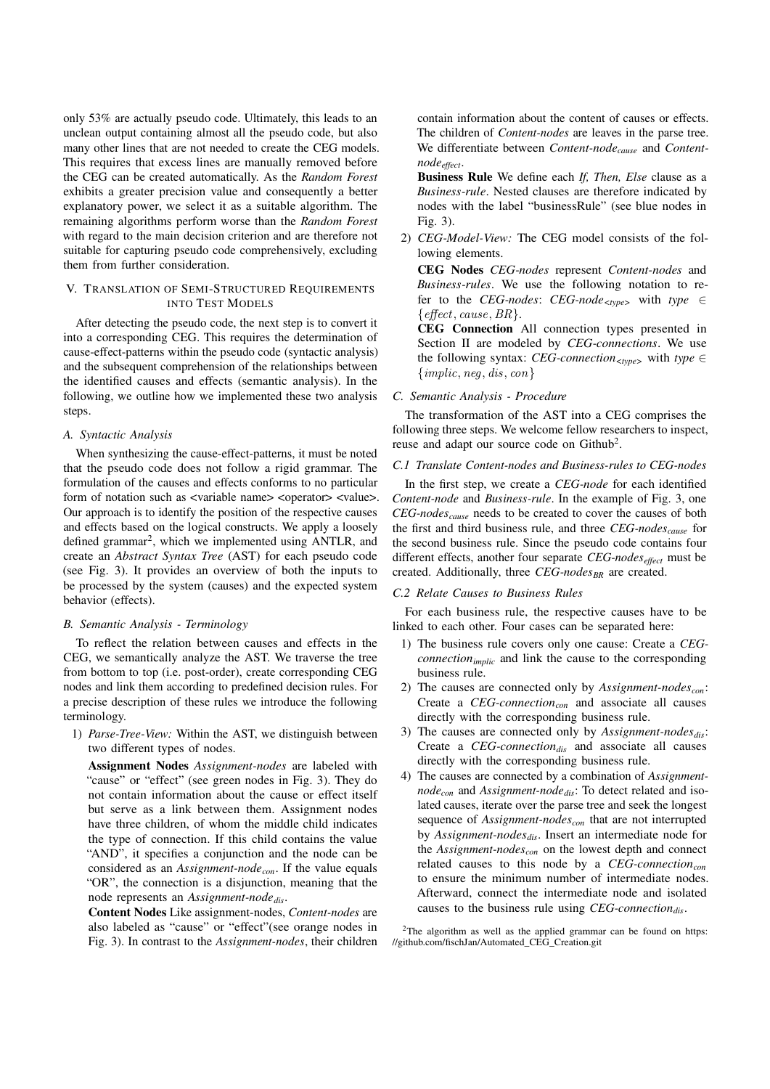only 53% are actually pseudo code. Ultimately, this leads to an unclean output containing almost all the pseudo code, but also many other lines that are not needed to create the CEG models. This requires that excess lines are manually removed before the CEG can be created automatically. As the Random Forest exhibits a greater precision value and consequently a better explanatory power, we select it as a suitable algorithm. The remaining algorithms perform worse than the Random Forest with regard to the main decision criterion and are therefore not suitable for capturing pseudo code comprehensively, excluding them from further consideration.

## V. TRANSLATION OF SEMI-STRUCTURED REQUIREMENTS INTO TEST MODELS

After detecting the pseudo code, the next step is to convert it into a corresponding CEG. This requires the determination of cause-effect-patterns within the pseudo code (syntactic analysis) and the subsequent comprehension of the relationships between the identified causes and effects (semantic analysis). In the following, we outline how we implemented these two analysis steps.

## A. Syntactic Analysis

When synthesizing the cause-effect-patterns, it must be noted that the pseudo code does not follow a rigid grammar. The formulation of the causes and effects conforms to no particular form of notation such as <variable name> <operator> <value>. Our approach is to identify the position of the respective causes and effects based on the logical constructs. We apply a loosely defined grammar<sup>2</sup>, which we implemented using ANTLR, and create an Abstract Syntax Tree (AST) for each pseudo code (see Fig. 3). It provides an overview of both the inputs to be processed by the system (causes) and the expected system behavior (effects).

## B. Semantic Analysis - Terminology

To reflect the relation between causes and effects in the CEG, we semantically analyze the AST. We traverse the tree from bottom to top (i.e. post-order), create corresponding CEG nodes and link them according to predefined decision rules. For a precise description of these rules we introduce the following terminology.

1) Parse-Tree-View: Within the AST, we distinguish between two different types of nodes.

Assignment Nodes Assignment-nodes are labeled with "cause" or "effect" (see green nodes in Fig. 3). They do not contain information about the cause or effect itself but serve as a link between them. Assignment nodes have three children, of whom the middle child indicates the type of connection. If this child contains the value "AND", it specifies a conjunction and the node can be considered as an Assignment-node<sub>con</sub>. If the value equals "OR", the connection is a disjunction, meaning that the node represents an Assignment-node $_{dis}$ .

Content Nodes Like assignment-nodes, Content-nodes are also labeled as "cause" or "effect"(see orange nodes in Fig. 3). In contrast to the Assignment-nodes, their children contain information about the content of causes or effects. The children of Content-nodes are leaves in the parse tree. We differentiate between Content-node<sub>cause</sub> and Contentnode<sub>effect</sub>.

Business Rule We define each If, Then, Else clause as a Business-rule. Nested clauses are therefore indicated by nodes with the label "businessRule" (see blue nodes in Fig. 3).

2) CEG-Model-View: The CEG model consists of the following elements.

CEG Nodes CEG-nodes represent Content-nodes and Business-rules. We use the following notation to refer to the CEG-nodes: CEG-node<sub><type</sub> with type  $\in$  $\{effect, cause, BR\}.$ 

CEG Connection All connection types presented in Section II are modeled by CEG-connections. We use the following syntax: CEG-connection<sub><type</sub> with type  $\in$  ${implic, neg, dis, con}$ 

## C. Semantic Analysis - Procedure

The transformation of the AST into a CEG comprises the following three steps. We welcome fellow researchers to inspect, reuse and adapt our source code on Github<sup>2</sup>.

## C.1 Translate Content-nodes and Business-rules to CEG-nodes

In the first step, we create a CEG-node for each identified Content-node and Business-rule. In the example of Fig. 3, one  $CEG-nodes_{cause}$  needs to be created to cover the causes of both the first and third business rule, and three  $CEG-nodes_{cause}$  for the second business rule. Since the pseudo code contains four different effects, another four separate  $CEG$ -nodes<sub>effect</sub> must be created. Additionally, three CEG-nodes<sub>BR</sub> are created.

#### C.2 Relate Causes to Business Rules

For each business rule, the respective causes have to be linked to each other. Four cases can be separated here:

- 1) The business rule covers only one cause: Create a CEG $connection_{implicit}$  and link the cause to the corresponding business rule.
- 2) The causes are connected only by Assignment-nodes<sub>con</sub>: Create a  $CEG$ -connection<sub>con</sub> and associate all causes directly with the corresponding business rule.
- 3) The causes are connected only by Assignment-nodes $_{dis}$ : Create a  $CEG$ -connection<sub>dis</sub> and associate all causes directly with the corresponding business rule.
- 4) The causes are connected by a combination of Assignment $node_{con}$  and Assignment-node<sub>dis</sub>: To detect related and isolated causes, iterate over the parse tree and seek the longest sequence of Assignment-nodes<sub>con</sub> that are not interrupted by Assignment-nodes $_{dis}$ . Insert an intermediate node for the Assignment-nodes<sub>con</sub> on the lowest depth and connect related causes to this node by a  $CEG$ -connection<sub>con</sub> to ensure the minimum number of intermediate nodes. Afterward, connect the intermediate node and isolated causes to the business rule using  $CEG$ -connection<sub>dis</sub>.

<sup>2</sup>The algorithm as well as the applied grammar can be found on https: //github.com/fischJan/Automated\_CEG\_Creation.git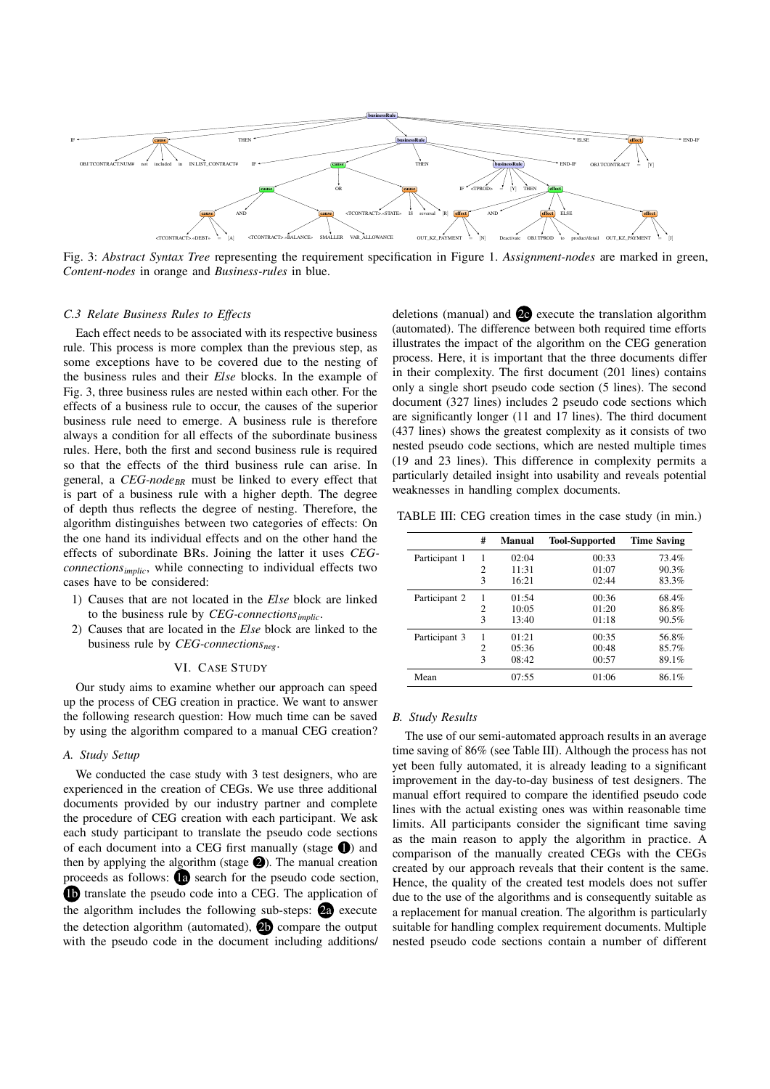

Fig. 3: Abstract Syntax Tree representing the requirement specification in Figure 1. Assignment-nodes are marked in green, Content-nodes in orange and Business-rules in blue.

#### C.3 Relate Business Rules to Effects

Each effect needs to be associated with its respective business rule. This process is more complex than the previous step, as some exceptions have to be covered due to the nesting of the business rules and their Else blocks. In the example of Fig. 3, three business rules are nested within each other. For the effects of a business rule to occur, the causes of the superior business rule need to emerge. A business rule is therefore always a condition for all effects of the subordinate business rules. Here, both the first and second business rule is required so that the effects of the third business rule can arise. In general, a  $CEG$ -node<sub>BR</sub> must be linked to every effect that is part of a business rule with a higher depth. The degree of depth thus reflects the degree of nesting. Therefore, the algorithm distinguishes between two categories of effects: On the one hand its individual effects and on the other hand the effects of subordinate BRs. Joining the latter it uses CEGconnections<sub>implic</sub>, while connecting to individual effects two cases have to be considered:

- 1) Causes that are not located in the Else block are linked to the business rule by  $CEG$ -connections $_{implic}$ .
- 2) Causes that are located in the Else block are linked to the business rule by  $CEG$ -connections<sub>neg</sub>.

#### VI. CASE STUDY

Our study aims to examine whether our approach can speed up the process of CEG creation in practice. We want to answer the following research question: How much time can be saved by using the algorithm compared to a manual CEG creation?

## A. Study Setup

We conducted the case study with 3 test designers, who are experienced in the creation of CEGs. We use three additional documents provided by our industry partner and complete the procedure of CEG creation with each participant. We ask each study participant to translate the pseudo code sections of each document into a CEG first manually (stage  $\bigcirc$ ) and then by applying the algorithm (stage  $\bigcirc$ ). The manual creation proceeds as follows: 1a search for the pseudo code section, **1** translate the pseudo code into a CEG. The application of the algorithm includes the following sub-steps:  $\overline{a}$  execute the detection algorithm (automated),  $\overline{2}$  compare the output with the pseudo code in the document including additions/

deletions (manual) and 2c execute the translation algorithm (automated). The difference between both required time efforts illustrates the impact of the algorithm on the CEG generation process. Here, it is important that the three documents differ in their complexity. The first document (201 lines) contains only a single short pseudo code section (5 lines). The second document (327 lines) includes 2 pseudo code sections which are significantly longer (11 and 17 lines). The third document (437 lines) shows the greatest complexity as it consists of two nested pseudo code sections, which are nested multiple times (19 and 23 lines). This difference in complexity permits a particularly detailed insight into usability and reveals potential weaknesses in handling complex documents.

TABLE III: CEG creation times in the case study (in min.)

|               | # | <b>Manual</b> | <b>Tool-Supported</b> | <b>Time Saving</b> |
|---------------|---|---------------|-----------------------|--------------------|
| Participant 1 |   | 02:04         | 00:33                 | 73.4%              |
|               | 2 | 11:31         | 01:07                 | 90.3%              |
|               | 3 | 16:21         | 02:44                 | 83.3%              |
| Participant 2 | 1 | 01:54         | 00:36                 | 68.4%              |
|               | 2 | 10:05         | 01:20                 | 86.8%              |
|               | 3 | 13:40         | 01:18                 | 90.5%              |
| Participant 3 | 1 | 01:21         | 00:35                 | 56.8%              |
|               | 2 | 05:36         | 00:48                 | 85.7%              |
|               | 3 | 08:42         | 00:57                 | 89.1%              |
| Mean          |   | 07:55         | 01:06                 | 86.1%              |

#### B. Study Results

The use of our semi-automated approach results in an average time saving of 86% (see Table III). Although the process has not yet been fully automated, it is already leading to a significant improvement in the day-to-day business of test designers. The manual effort required to compare the identified pseudo code lines with the actual existing ones was within reasonable time limits. All participants consider the significant time saving as the main reason to apply the algorithm in practice. A comparison of the manually created CEGs with the CEGs created by our approach reveals that their content is the same. Hence, the quality of the created test models does not suffer due to the use of the algorithms and is consequently suitable as a replacement for manual creation. The algorithm is particularly suitable for handling complex requirement documents. Multiple nested pseudo code sections contain a number of different